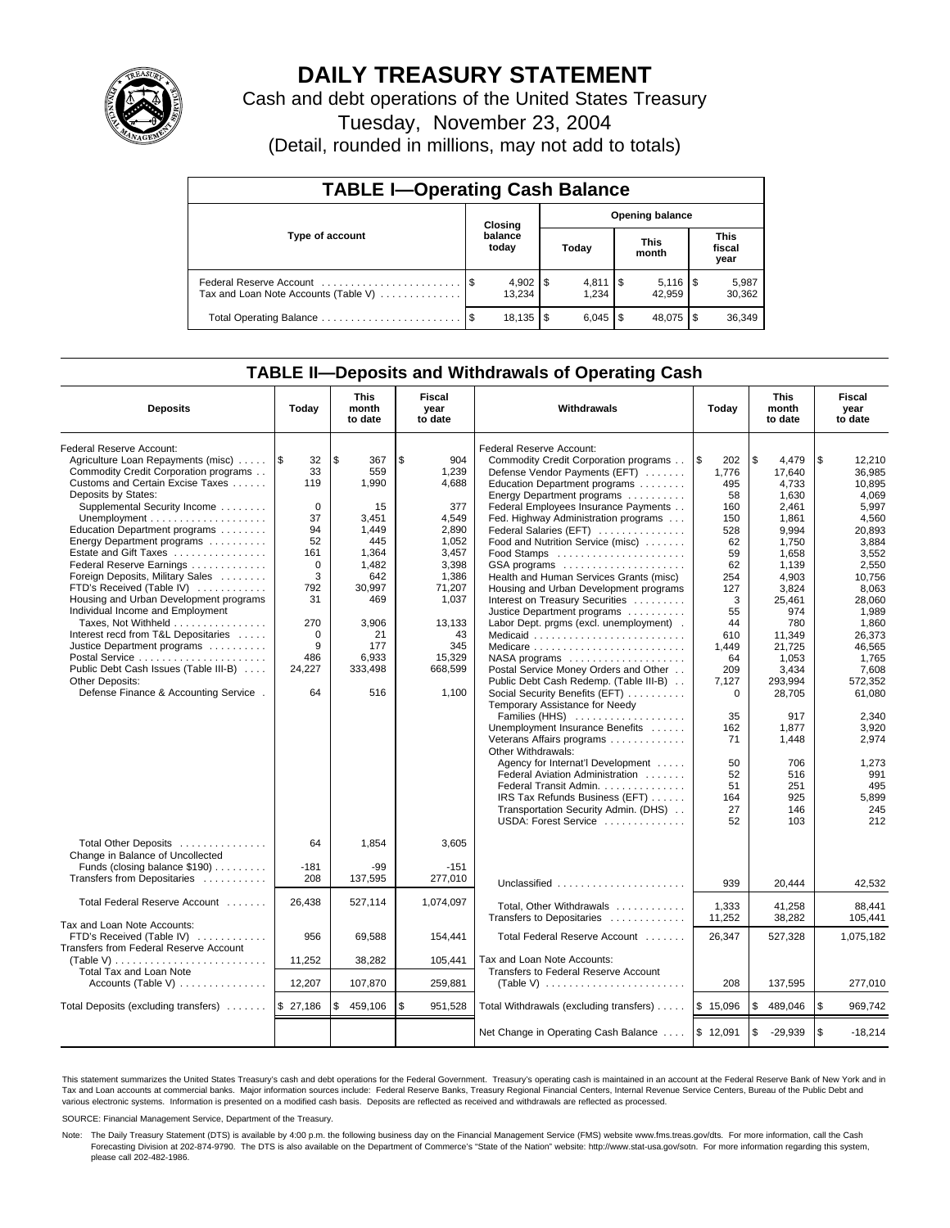

## **DAILY TREASURY STATEMENT**

Cash and debt operations of the United States Treasury

Tuesday, November 23, 2004

(Detail, rounded in millions, may not add to totals)

| <b>TABLE I-Operating Cash Balance</b> |  |                        |  |                      |  |                        |  |                               |  |
|---------------------------------------|--|------------------------|--|----------------------|--|------------------------|--|-------------------------------|--|
| Type of account                       |  | Closing                |  |                      |  | <b>Opening balance</b> |  |                               |  |
|                                       |  | balance<br>today       |  | Today                |  | <b>This</b><br>month   |  | <b>This</b><br>fiscal<br>year |  |
| Tax and Loan Note Accounts (Table V)  |  | $4,902$   \$<br>13.234 |  | $4,811$ \\$<br>1.234 |  | 42.959                 |  | 5,987<br>30,362               |  |
|                                       |  | $18,135$ \\$           |  |                      |  | 48,075                 |  | 36,349                        |  |

### **TABLE II—Deposits and Withdrawals of Operating Cash**

| <b>Deposits</b>                                          | Today                 | <b>This</b><br>month<br>to date | Fiscal<br>year<br>to date | <b>Withdrawals</b>                                               | Today           | <b>This</b><br>month<br>to date | Fiscal<br>year<br>to date |
|----------------------------------------------------------|-----------------------|---------------------------------|---------------------------|------------------------------------------------------------------|-----------------|---------------------------------|---------------------------|
| Federal Reserve Account:                                 |                       |                                 |                           | Federal Reserve Account:                                         |                 |                                 |                           |
| Agriculture Loan Repayments (misc)                       | $\overline{1s}$<br>32 | l \$<br>367                     | \$<br>904                 | Commodity Credit Corporation programs                            | l \$<br>202     | \$<br>4.479                     | \$<br>12.210              |
| Commodity Credit Corporation programs                    | 33                    | 559                             | 1,239                     | Defense Vendor Payments (EFT)                                    | 1,776           | 17.640                          | 36.985                    |
| Customs and Certain Excise Taxes                         | 119                   | 1,990                           | 4,688                     | Education Department programs                                    | 495             | 4,733                           | 10,895                    |
| Deposits by States:                                      |                       |                                 |                           | Energy Department programs                                       | 58              | 1,630                           | 4,069                     |
| Supplemental Security Income                             | $\mathbf 0$           | 15                              | 377                       | Federal Employees Insurance Payments                             | 160             | 2,461                           | 5,997                     |
|                                                          | 37                    | 3.451                           | 4.549                     | Fed. Highway Administration programs                             | 150             | 1.861                           | 4.560                     |
| Education Department programs                            | 94                    | 1,449                           | 2,890                     | Federal Salaries (EFT)                                           | 528             | 9.994                           | 20.893                    |
| Energy Department programs                               | 52                    | 445                             | 1,052                     | Food and Nutrition Service (misc)                                | 62              | 1.750                           | 3,884                     |
| Estate and Gift Taxes                                    | 161                   | 1,364                           | 3,457                     | Food Stamps                                                      | 59              | 1,658                           | 3,552                     |
| Federal Reserve Earnings                                 | 0                     | 1,482                           | 3,398                     | GSA programs                                                     | 62              | 1,139                           | 2,550                     |
| Foreign Deposits, Military Sales                         | 3                     | 642                             | 1,386                     | Health and Human Services Grants (misc)                          | 254             | 4,903                           | 10,756                    |
| FTD's Received (Table IV)                                | 792                   | 30.997                          | 71,207                    | Housing and Urban Development programs                           | 127             | 3.824                           | 8.063                     |
| Housing and Urban Development programs                   | 31                    | 469                             | 1,037                     | Interest on Treasury Securities                                  | 3               | 25,461                          | 28,060                    |
| Individual Income and Employment                         |                       |                                 |                           | Justice Department programs                                      | 55              | 974                             | 1,989                     |
| Taxes, Not Withheld                                      | 270                   | 3,906                           | 13,133                    | Labor Dept. prgms (excl. unemployment).                          | 44              | 780                             | 1.860                     |
| Interest recd from T&L Depositaries                      | $\mathbf 0$           | 21                              | 43                        | Medicaid                                                         | 610             | 11,349                          | 26,373                    |
| Justice Department programs                              | 9                     | 177                             | 345                       |                                                                  | 1.449           | 21.725                          | 46.565                    |
| Postal Service                                           | 486                   | 6,933                           | 15,329                    |                                                                  | 64              | 1.053                           | 1.765                     |
| Public Debt Cash Issues (Table III-B)                    | 24,227                | 333,498                         | 668,599                   | Postal Service Money Orders and Other                            | 209             | 3,434                           | 7.608                     |
| <b>Other Deposits:</b>                                   |                       |                                 |                           | Public Debt Cash Redemp. (Table III-B)                           | 7,127           | 293,994                         | 572,352                   |
| Defense Finance & Accounting Service.                    | 64                    | 516                             | 1,100                     | Social Security Benefits (EFT)<br>Temporary Assistance for Needy | $\mathbf 0$     | 28,705                          | 61,080                    |
|                                                          |                       |                                 |                           | Families (HHS)                                                   | 35              | 917                             | 2.340                     |
|                                                          |                       |                                 |                           | Unemployment Insurance Benefits                                  | 162             | 1,877                           | 3,920                     |
|                                                          |                       |                                 |                           | Veterans Affairs programs                                        | 71              | 1,448                           | 2.974                     |
|                                                          |                       |                                 |                           | Other Withdrawals:                                               |                 |                                 |                           |
|                                                          |                       |                                 |                           | Agency for Internat'l Development                                | 50              | 706                             | 1,273                     |
|                                                          |                       |                                 |                           | Federal Aviation Administration                                  | 52              | 516                             | 991                       |
|                                                          |                       |                                 |                           | Federal Transit Admin.                                           | 51              | 251                             | 495                       |
|                                                          |                       |                                 |                           | IRS Tax Refunds Business (EFT)                                   | 164             | 925                             | 5,899                     |
|                                                          |                       |                                 |                           | Transportation Security Admin. (DHS)                             | 27              | 146                             | 245                       |
|                                                          |                       |                                 |                           | USDA: Forest Service                                             | 52              | 103                             | 212                       |
| Total Other Deposits<br>Change in Balance of Uncollected | 64                    | 1.854                           | 3.605                     |                                                                  |                 |                                 |                           |
| Funds (closing balance \$190)                            | $-181$                | -99                             | $-151$                    |                                                                  |                 |                                 |                           |
| Transfers from Depositaries                              | 208                   | 137,595                         | 277,010                   |                                                                  |                 |                                 |                           |
|                                                          |                       |                                 |                           | Unclassified                                                     | 939             | 20,444                          | 42,532                    |
| Total Federal Reserve Account                            | 26.438                | 527,114                         | 1,074,097                 | Total, Other Withdrawals<br>Transfers to Depositaries            | 1,333<br>11,252 | 41,258<br>38,282                | 88.441<br>105,441         |
| Tax and Loan Note Accounts:                              |                       |                                 |                           |                                                                  |                 |                                 |                           |
| FTD's Received (Table IV)                                | 956                   | 69,588                          | 154,441                   | Total Federal Reserve Account                                    | 26,347          | 527,328                         | 1,075,182                 |
| Transfers from Federal Reserve Account                   |                       |                                 |                           |                                                                  |                 |                                 |                           |
|                                                          | 11,252                | 38,282                          | 105,441                   | Tax and Loan Note Accounts:                                      |                 |                                 |                           |
| Total Tax and Loan Note                                  |                       |                                 |                           | Transfers to Federal Reserve Account                             |                 |                                 |                           |
| Accounts (Table V) $\dots \dots \dots \dots$             | 12,207                | 107,870                         | 259.881                   | (Table V) $\ldots \ldots \ldots \ldots \ldots \ldots \ldots$     | 208             | 137,595                         | 277,010                   |
| Total Deposits (excluding transfers)                     | \$27,186              | 459,106<br>S                    | \$<br>951,528             | Total Withdrawals (excluding transfers)                          | \$15,096        | 489,046<br>\$                   | <b>S</b><br>969,742       |
|                                                          |                       |                                 |                           | Net Change in Operating Cash Balance                             | \$12,091        | \$<br>$-29,939$                 | l \$<br>$-18,214$         |

This statement summarizes the United States Treasury's cash and debt operations for the Federal Government. Treasury's operating cash is maintained in an account at the Federal Reserve Bank of New York and in Tax and Loan accounts at commercial banks. Major information sources include: Federal Reserve Banks, Treasury Regional Financial Centers, Internal Revenue Service Centers, Bureau of the Public Debt and<br>various electronic s

SOURCE: Financial Management Service, Department of the Treasury.

Note: The Daily Treasury Statement (DTS) is available by 4:00 p.m. the following business day on the Financial Management Service (FMS) website www.fms.treas.gov/dts. For more information, call the Cash Forecasting Division at 202-874-9790. The DTS is also available on the Department of Commerce's "State of the Nation" website: http://www.stat-usa.gov/sotn. For more information regarding this system, please call 202-482-1986.